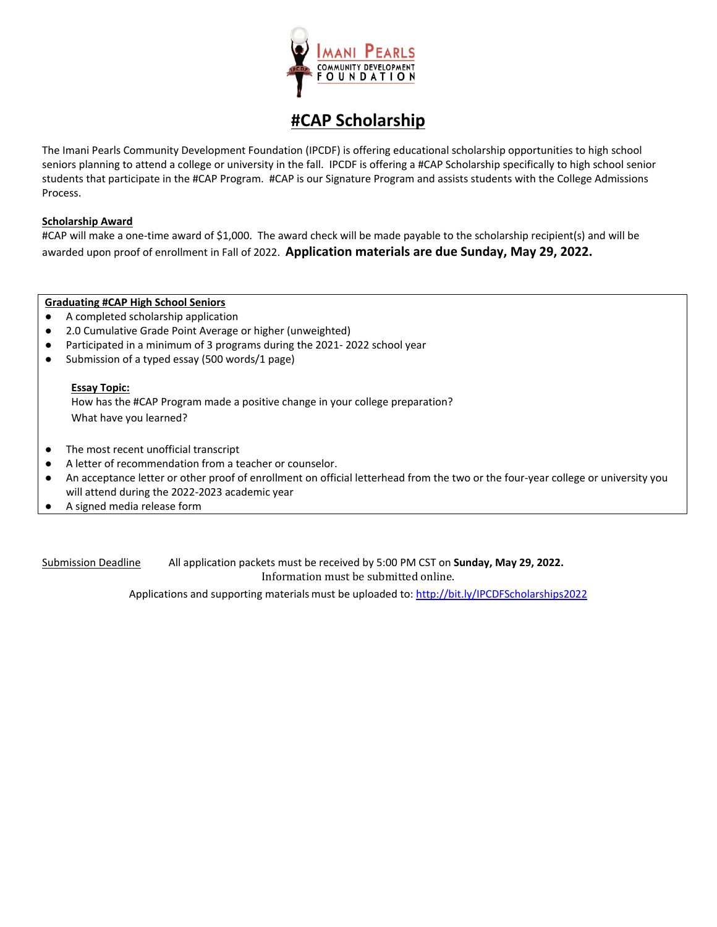

### **#CAP Scholarship**

The Imani Pearls Community Development Foundation (IPCDF) is offering educational scholarship opportunities to high school seniors planning to attend a college or university in the fall. IPCDF is offering a #CAP Scholarship specifically to high school senior students that participate in the #CAP Program. #CAP is our Signature Program and assists students with the College Admissions Process.

### **Scholarship Award**

#CAP will make a one-time award of \$1,000. The award check will be made payable to the scholarship recipient(s) and will be awarded upon proof of enrollment in Fall of 2022. **Application materials are due Sunday, May 29, 2022.**

### **Graduating #CAP High School Seniors**

- A completed scholarship application
- 2.0 Cumulative Grade Point Average or higher (unweighted)
- Participated in a minimum of 3 programs during the 2021- 2022 school year
- Submission of a typed essay (500 words/1 page)

### **Essay Topic:**

How has the #CAP Program made a positive change in your college preparation? What have you learned?

- The most recent unofficial transcript
- A letter of recommendation from a teacher or counselor.
- An acceptance letter or other proof of enrollment on official letterhead from the two or the four-year college or university you will attend during the 2022-2023 academic year
- A signed media release form

Submission Deadline All application packets must be received by 5:00 PM CST on **Sunday, May 29, 2022.** Information must be submitted online.

Applications and supporting materials must be uploaded to[: http://bit.ly/IPCDFScholarships2022](http://bit.ly/IPCDFScholarships2022)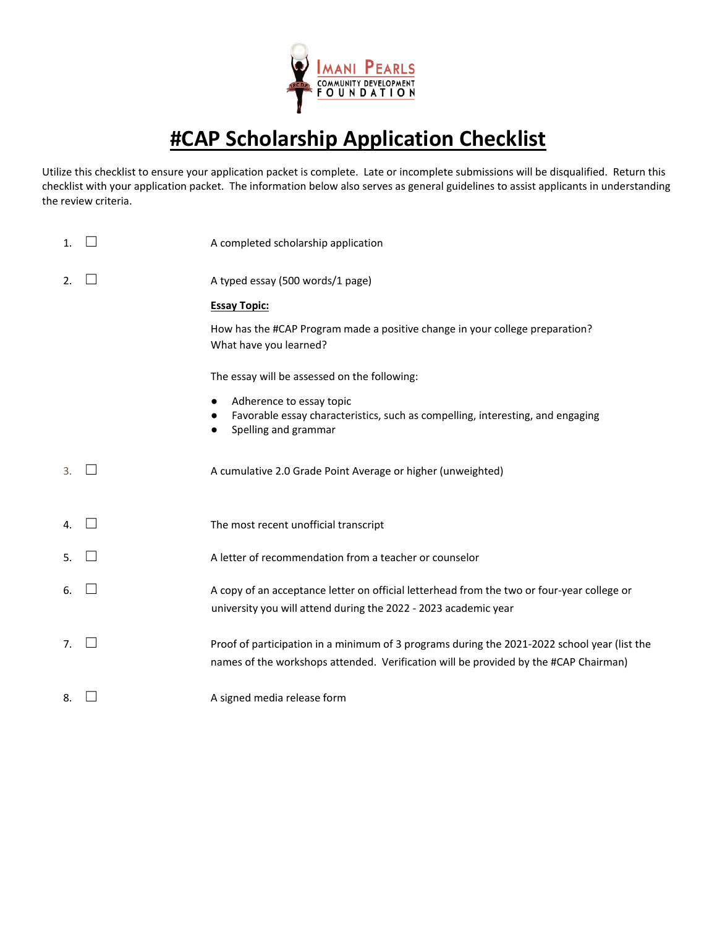

# **#CAP Scholarship Application Checklist**

Utilize this checklist to ensure your application packet is complete. Late or incomplete submissions will be disqualified. Return this checklist with your application packet. The information below also serves as general guidelines to assist applicants in understanding the review criteria.

| 1. | A completed scholarship application                                                                                                                                                  |
|----|--------------------------------------------------------------------------------------------------------------------------------------------------------------------------------------|
| 2. | A typed essay (500 words/1 page)                                                                                                                                                     |
|    | <b>Essay Topic:</b>                                                                                                                                                                  |
|    | How has the #CAP Program made a positive change in your college preparation?<br>What have you learned?                                                                               |
|    | The essay will be assessed on the following:                                                                                                                                         |
|    | Adherence to essay topic<br>$\bullet$                                                                                                                                                |
|    | Favorable essay characteristics, such as compelling, interesting, and engaging<br>Spelling and grammar<br>$\bullet$                                                                  |
| 3. | A cumulative 2.0 Grade Point Average or higher (unweighted)                                                                                                                          |
| 4. | The most recent unofficial transcript                                                                                                                                                |
| 5. | A letter of recommendation from a teacher or counselor                                                                                                                               |
| 6. | A copy of an acceptance letter on official letterhead from the two or four-year college or<br>university you will attend during the 2022 - 2023 academic year                        |
| 7. | Proof of participation in a minimum of 3 programs during the 2021-2022 school year (list the<br>names of the workshops attended. Verification will be provided by the #CAP Chairman) |
| 8. | A signed media release form                                                                                                                                                          |